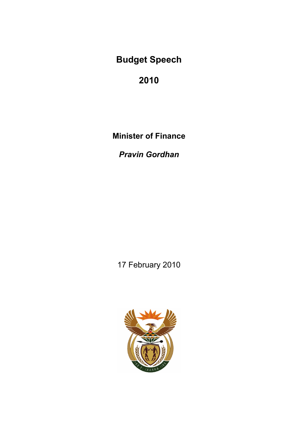**2010** 

**Minister of Finance** 

*Pravin Gordhan* 

17 February 2010

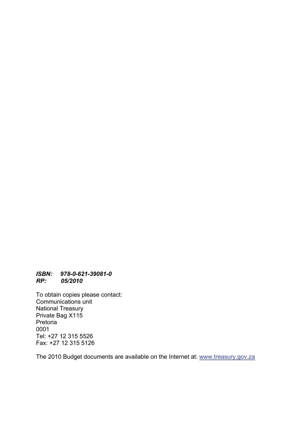#### *ISBN: 978-0-621-39081-0 RP: 05/2010*

To obtain copies please contact: Communications unit National Treasury Private Bag X115 Pretoria 0001 Tel: +27 12 315 5526 Fax: +27 12 315 5126

The 2010 Budget documents are available on the Internet at: www.treasury.gov.za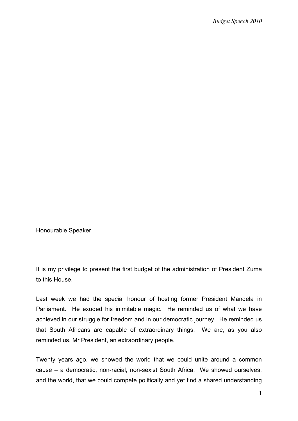Honourable Speaker

It is my privilege to present the first budget of the administration of President Zuma to this House.

Last week we had the special honour of hosting former President Mandela in Parliament. He exuded his inimitable magic. He reminded us of what we have achieved in our struggle for freedom and in our democratic journey. He reminded us that South Africans are capable of extraordinary things. We are, as you also reminded us, Mr President, an extraordinary people.

Twenty years ago, we showed the world that we could unite around a common cause – a democratic, non-racial, non-sexist South Africa. We showed ourselves, and the world, that we could compete politically and yet find a shared understanding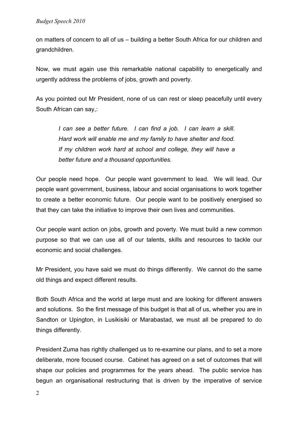on matters of concern to all of us – building a better South Africa for our children and grandchildren.

Now, we must again use this remarkable national capability to energetically and urgently address the problems of jobs, growth and poverty.

As you pointed out Mr President, none of us can rest or sleep peacefully until every South African can say,:

*I can see a better future. I can find a job. I can learn a skill. Hard work will enable me and my family to have shelter and food.*  If my children work hard at school and college, they will have a *better future and a thousand opportunities.* 

Our people need hope. Our people want government to lead. We will lead. Our people want government, business, labour and social organisations to work together to create a better economic future. Our people want to be positively energised so that they can take the initiative to improve their own lives and communities.

Our people want action on jobs, growth and poverty. We must build a new common purpose so that we can use all of our talents, skills and resources to tackle our economic and social challenges.

Mr President, you have said we must do things differently. We cannot do the same old things and expect different results.

Both South Africa and the world at large must and are looking for different answers and solutions. So the first message of this budget is that all of us, whether you are in Sandton or Upington, in Lusikisiki or Marabastad, we must all be prepared to do things differently.

President Zuma has rightly challenged us to re-examine our plans, and to set a more deliberate, more focused course. Cabinet has agreed on a set of outcomes that will shape our policies and programmes for the years ahead. The public service has begun an organisational restructuring that is driven by the imperative of service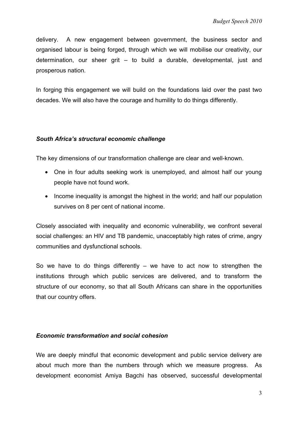delivery. A new engagement between government, the business sector and organised labour is being forged, through which we will mobilise our creativity, our determination, our sheer grit – to build a durable, developmental, just and prosperous nation.

In forging this engagement we will build on the foundations laid over the past two decades. We will also have the courage and humility to do things differently.

## *South Africa's structural economic challenge*

The key dimensions of our transformation challenge are clear and well-known.

- One in four adults seeking work is unemployed, and almost half our young people have not found work.
- Income inequality is amongst the highest in the world; and half our population survives on 8 per cent of national income.

Closely associated with inequality and economic vulnerability, we confront several social challenges: an HIV and TB pandemic, unacceptably high rates of crime, angry communities and dysfunctional schools.

So we have to do things differently  $-$  we have to act now to strengthen the institutions through which public services are delivered, and to transform the structure of our economy, so that all South Africans can share in the opportunities that our country offers.

### *Economic transformation and social cohesion*

We are deeply mindful that economic development and public service delivery are about much more than the numbers through which we measure progress. As development economist Amiya Bagchi has observed, successful developmental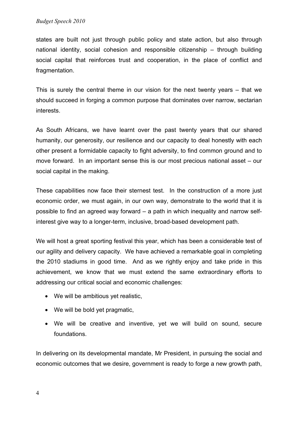states are built not just through public policy and state action, but also through national identity, social cohesion and responsible citizenship – through building social capital that reinforces trust and cooperation, in the place of conflict and fragmentation.

This is surely the central theme in our vision for the next twenty years – that we should succeed in forging a common purpose that dominates over narrow, sectarian interests.

As South Africans, we have learnt over the past twenty years that our shared humanity, our generosity, our resilience and our capacity to deal honestly with each other present a formidable capacity to fight adversity, to find common ground and to move forward. In an important sense this is our most precious national asset – our social capital in the making.

These capabilities now face their sternest test. In the construction of a more just economic order, we must again, in our own way, demonstrate to the world that it is possible to find an agreed way forward – a path in which inequality and narrow selfinterest give way to a longer-term, inclusive, broad-based development path.

We will host a great sporting festival this year, which has been a considerable test of our agility and delivery capacity. We have achieved a remarkable goal in completing the 2010 stadiums in good time. And as we rightly enjoy and take pride in this achievement, we know that we must extend the same extraordinary efforts to addressing our critical social and economic challenges:

- We will be ambitious yet realistic,
- We will be bold yet pragmatic.
- We will be creative and inventive, yet we will build on sound, secure foundations.

In delivering on its developmental mandate, Mr President, in pursuing the social and economic outcomes that we desire, government is ready to forge a new growth path,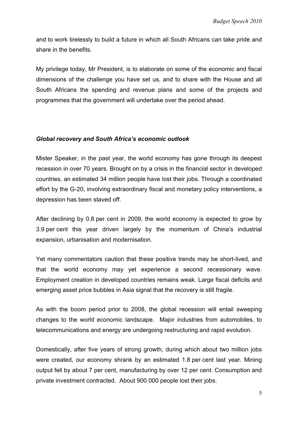and to work tirelessly to build a future in which all South Africans can take pride and share in the benefits.

My privilege today, Mr President, is to elaborate on some of the economic and fiscal dimensions of the challenge you have set us, and to share with the House and all South Africans the spending and revenue plans and some of the projects and programmes that the government will undertake over the period ahead.

## *Global recovery and South Africa's economic outlook*

Mister Speaker, in the past year, the world economy has gone through its deepest recession in over 70 years. Brought on by a crisis in the financial sector in developed countries, an estimated 34 million people have lost their jobs. Through a coordinated effort by the G-20, involving extraordinary fiscal and monetary policy interventions, a depression has been staved off.

After declining by 0.8 per cent in 2009, the world economy is expected to grow by 3.9 per cent this year driven largely by the momentum of China's industrial expansion, urbanisation and modernisation.

Yet many commentators caution that these positive trends may be short-lived, and that the world economy may yet experience a second recessionary wave. Employment creation in developed countries remains weak. Large fiscal deficits and emerging asset price bubbles in Asia signal that the recovery is still fragile.

As with the boom period prior to 2008, the global recession will entail sweeping changes to the world economic landscape. Major industries from automobiles, to telecommunications and energy are undergoing restructuring and rapid evolution.

Domestically, after five years of strong growth, during which about two million jobs were created, our economy shrank by an estimated 1.8 per cent last year. Mining output fell by about 7 per cent, manufacturing by over 12 per cent. Consumption and private investment contracted. About 900 000 people lost their jobs.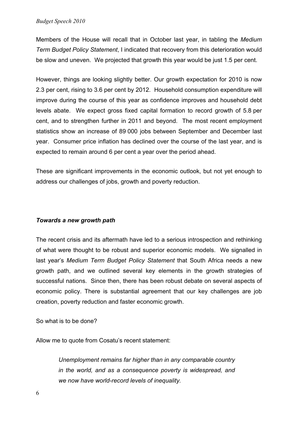Members of the House will recall that in October last year, in tabling the *Medium Term Budget Policy Statement*, I indicated that recovery from this deterioration would be slow and uneven. We projected that growth this year would be just 1.5 per cent.

However, things are looking slightly better. Our growth expectation for 2010 is now 2.3 per cent, rising to 3.6 per cent by 2012. Household consumption expenditure will improve during the course of this year as confidence improves and household debt levels abate. We expect gross fixed capital formation to record growth of 5.8 per cent, and to strengthen further in 2011 and beyond. The most recent employment statistics show an increase of 89 000 jobs between September and December last year. Consumer price inflation has declined over the course of the last year, and is expected to remain around 6 per cent a year over the period ahead.

These are significant improvements in the economic outlook, but not yet enough to address our challenges of jobs, growth and poverty reduction.

# *Towards a new growth path*

The recent crisis and its aftermath have led to a serious introspection and rethinking of what were thought to be robust and superior economic models. We signalled in last year's *Medium Term Budget Policy Statement* that South Africa needs a new growth path, and we outlined several key elements in the growth strategies of successful nations. Since then, there has been robust debate on several aspects of economic policy. There is substantial agreement that our key challenges are job creation, poverty reduction and faster economic growth.

So what is to be done?

Allow me to quote from Cosatu's recent statement:

*Unemployment remains far higher than in any comparable country in the world, and as a consequence poverty is widespread, and we now have world-record levels of inequality.*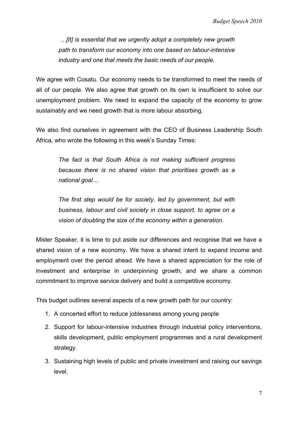*…[It] is essential that we urgently adopt a completely new growth path to transform our economy into one based on labour-intensive industry and one that meets the basic needs of our people.* 

We agree with Cosatu. Our economy needs to be transformed to meet the needs of all of our people. We also agree that growth on its own is insufficient to solve our unemployment problem. We need to expand the capacity of the economy to grow sustainably and we need growth that is more labour absorbing.

We also find ourselves in agreement with the CEO of Business Leadership South Africa, who wrote the following in this week's Sunday Times:

> *The fact is that South Africa is not making sufficient progress because there is no shared vision that prioritises growth as a national goal…*

> *The first step would be for society, led by government, but with business, labour and civil society in close support, to agree on a vision of doubling the size of the economy within a generation.*

Mister Speaker, it is time to put aside our differences and recognise that we have a shared vision of a new economy. We have a shared intent to expand income and employment over the period ahead. We have a shared appreciation for the role of investment and enterprise in underpinning growth; and we share a common commitment to improve service delivery and build a competitive economy.

This budget outlines several aspects of a new growth path for our country:

- 1. A concerted effort to reduce joblessness among young people
- 2. Support for labour-intensive industries through industrial policy interventions, skills development, public employment programmes and a rural development strategy.
- 3. Sustaining high levels of public and private investment and raising our savings level.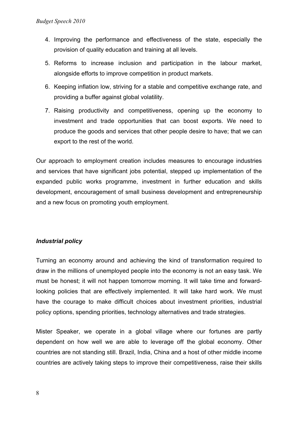- 4. Improving the performance and effectiveness of the state, especially the provision of quality education and training at all levels.
- 5. Reforms to increase inclusion and participation in the labour market, alongside efforts to improve competition in product markets.
- 6. Keeping inflation low, striving for a stable and competitive exchange rate, and providing a buffer against global volatility.
- 7. Raising productivity and competitiveness, opening up the economy to investment and trade opportunities that can boost exports. We need to produce the goods and services that other people desire to have; that we can export to the rest of the world.

Our approach to employment creation includes measures to encourage industries and services that have significant jobs potential, stepped up implementation of the expanded public works programme, investment in further education and skills development, encouragement of small business development and entrepreneurship and a new focus on promoting youth employment.

# *Industrial policy*

Turning an economy around and achieving the kind of transformation required to draw in the millions of unemployed people into the economy is not an easy task. We must be honest; it will not happen tomorrow morning. It will take time and forwardlooking policies that are effectively implemented. It will take hard work. We must have the courage to make difficult choices about investment priorities, industrial policy options, spending priorities, technology alternatives and trade strategies.

Mister Speaker, we operate in a global village where our fortunes are partly dependent on how well we are able to leverage off the global economy. Other countries are not standing still. Brazil, India, China and a host of other middle income countries are actively taking steps to improve their competitiveness, raise their skills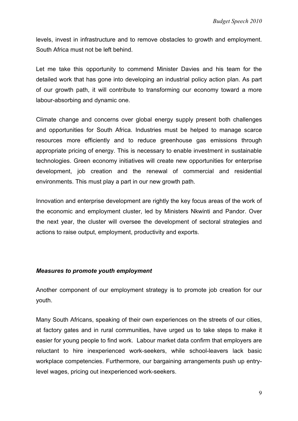levels, invest in infrastructure and to remove obstacles to growth and employment. South Africa must not be left behind.

Let me take this opportunity to commend Minister Davies and his team for the detailed work that has gone into developing an industrial policy action plan. As part of our growth path, it will contribute to transforming our economy toward a more labour-absorbing and dynamic one.

Climate change and concerns over global energy supply present both challenges and opportunities for South Africa. Industries must be helped to manage scarce resources more efficiently and to reduce greenhouse gas emissions through appropriate pricing of energy. This is necessary to enable investment in sustainable technologies. Green economy initiatives will create new opportunities for enterprise development, job creation and the renewal of commercial and residential environments. This must play a part in our new growth path.

Innovation and enterprise development are rightly the key focus areas of the work of the economic and employment cluster, led by Ministers Nkwinti and Pandor. Over the next year, the cluster will oversee the development of sectoral strategies and actions to raise output, employment, productivity and exports.

### *Measures to promote youth employment*

Another component of our employment strategy is to promote job creation for our youth.

Many South Africans, speaking of their own experiences on the streets of our cities, at factory gates and in rural communities, have urged us to take steps to make it easier for young people to find work. Labour market data confirm that employers are reluctant to hire inexperienced work-seekers, while school-leavers lack basic workplace competencies. Furthermore, our bargaining arrangements push up entrylevel wages, pricing out inexperienced work-seekers.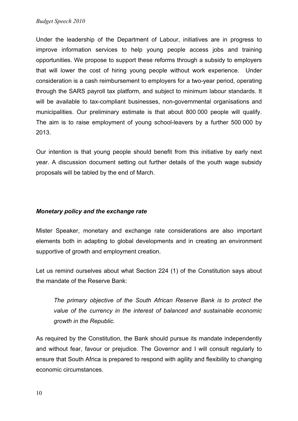Under the leadership of the Department of Labour, initiatives are in progress to improve information services to help young people access jobs and training opportunities. We propose to support these reforms through a subsidy to employers that will lower the cost of hiring young people without work experience. Under consideration is a cash reimbursement to employers for a two-year period, operating through the SARS payroll tax platform, and subject to minimum labour standards. It will be available to tax-compliant businesses, non-governmental organisations and municipalities. Our preliminary estimate is that about 800 000 people will qualify. The aim is to raise employment of young school-leavers by a further 500 000 by 2013.

Our intention is that young people should benefit from this initiative by early next year. A discussion document setting out further details of the youth wage subsidy proposals will be tabled by the end of March.

# *Monetary policy and the exchange rate*

Mister Speaker, monetary and exchange rate considerations are also important elements both in adapting to global developments and in creating an environment supportive of growth and employment creation.

Let us remind ourselves about what Section 224 (1) of the Constitution says about the mandate of the Reserve Bank:

*The primary objective of the South African Reserve Bank is to protect the value of the currency in the interest of balanced and sustainable economic growth in the Republic.* 

As required by the Constitution, the Bank should pursue its mandate independently and without fear, favour or prejudice. The Governor and I will consult regularly to ensure that South Africa is prepared to respond with agility and flexibility to changing economic circumstances.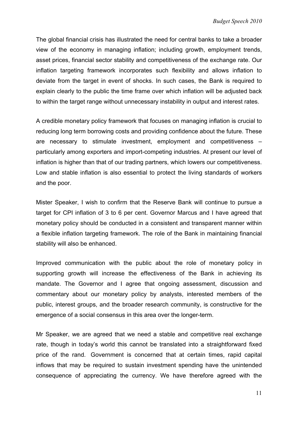The global financial crisis has illustrated the need for central banks to take a broader view of the economy in managing inflation; including growth, employment trends, asset prices, financial sector stability and competitiveness of the exchange rate. Our inflation targeting framework incorporates such flexibility and allows inflation to deviate from the target in event of shocks. In such cases, the Bank is required to explain clearly to the public the time frame over which inflation will be adjusted back to within the target range without unnecessary instability in output and interest rates.

A credible monetary policy framework that focuses on managing inflation is crucial to reducing long term borrowing costs and providing confidence about the future. These are necessary to stimulate investment, employment and competitiveness – particularly among exporters and import-competing industries. At present our level of inflation is higher than that of our trading partners, which lowers our competitiveness. Low and stable inflation is also essential to protect the living standards of workers and the poor.

Mister Speaker, I wish to confirm that the Reserve Bank will continue to pursue a target for CPI inflation of 3 to 6 per cent. Governor Marcus and I have agreed that monetary policy should be conducted in a consistent and transparent manner within a flexible inflation targeting framework. The role of the Bank in maintaining financial stability will also be enhanced.

Improved communication with the public about the role of monetary policy in supporting growth will increase the effectiveness of the Bank in achieving its mandate. The Governor and I agree that ongoing assessment, discussion and commentary about our monetary policy by analysts, interested members of the public, interest groups, and the broader research community, is constructive for the emergence of a social consensus in this area over the longer-term.

Mr Speaker, we are agreed that we need a stable and competitive real exchange rate, though in today's world this cannot be translated into a straightforward fixed price of the rand. Government is concerned that at certain times, rapid capital inflows that may be required to sustain investment spending have the unintended consequence of appreciating the currency. We have therefore agreed with the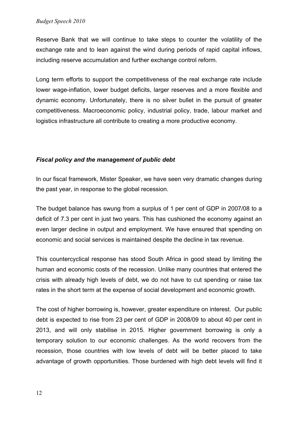Reserve Bank that we will continue to take steps to counter the volatility of the exchange rate and to lean against the wind during periods of rapid capital inflows, including reserve accumulation and further exchange control reform.

Long term efforts to support the competitiveness of the real exchange rate include lower wage-inflation, lower budget deficits, larger reserves and a more flexible and dynamic economy. Unfortunately, there is no silver bullet in the pursuit of greater competitiveness. Macroeconomic policy, industrial policy, trade, labour market and logistics infrastructure all contribute to creating a more productive economy.

# *Fiscal policy and the management of public debt*

In our fiscal framework, Mister Speaker, we have seen very dramatic changes during the past year, in response to the global recession.

The budget balance has swung from a surplus of 1 per cent of GDP in 2007/08 to a deficit of 7.3 per cent in just two years. This has cushioned the economy against an even larger decline in output and employment. We have ensured that spending on economic and social services is maintained despite the decline in tax revenue.

This countercyclical response has stood South Africa in good stead by limiting the human and economic costs of the recession. Unlike many countries that entered the crisis with already high levels of debt, we do not have to cut spending or raise tax rates in the short term at the expense of social development and economic growth.

The cost of higher borrowing is, however, greater expenditure on interest. Our public debt is expected to rise from 23 per cent of GDP in 2008/09 to about 40 per cent in 2013, and will only stabilise in 2015. Higher government borrowing is only a temporary solution to our economic challenges. As the world recovers from the recession, those countries with low levels of debt will be better placed to take advantage of growth opportunities. Those burdened with high debt levels will find it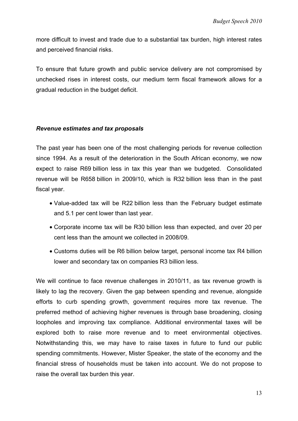more difficult to invest and trade due to a substantial tax burden, high interest rates and perceived financial risks.

To ensure that future growth and public service delivery are not compromised by unchecked rises in interest costs, our medium term fiscal framework allows for a gradual reduction in the budget deficit.

## *Revenue estimates and tax proposals*

The past year has been one of the most challenging periods for revenue collection since 1994. As a result of the deterioration in the South African economy, we now expect to raise R69 billion less in tax this year than we budgeted. Consolidated revenue will be R658 billion in 2009/10, which is R32 billion less than in the past fiscal year.

- Value-added tax will be R22 billion less than the February budget estimate and 5.1 per cent lower than last year.
- Corporate income tax will be R30 billion less than expected, and over 20 per cent less than the amount we collected in 2008/09.
- Customs duties will be R6 billion below target, personal income tax R4 billion lower and secondary tax on companies R3 billion less.

We will continue to face revenue challenges in 2010/11, as tax revenue growth is likely to lag the recovery. Given the gap between spending and revenue, alongside efforts to curb spending growth, government requires more tax revenue. The preferred method of achieving higher revenues is through base broadening, closing loopholes and improving tax compliance. Additional environmental taxes will be explored both to raise more revenue and to meet environmental objectives. Notwithstanding this, we may have to raise taxes in future to fund our public spending commitments. However, Mister Speaker, the state of the economy and the financial stress of households must be taken into account. We do not propose to raise the overall tax burden this year.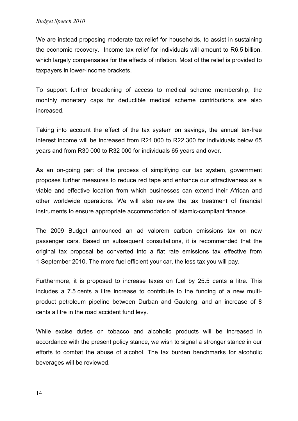We are instead proposing moderate tax relief for households, to assist in sustaining the economic recovery. Income tax relief for individuals will amount to R6.5 billion, which largely compensates for the effects of inflation. Most of the relief is provided to taxpayers in lower-income brackets.

To support further broadening of access to medical scheme membership, the monthly monetary caps for deductible medical scheme contributions are also increased.

Taking into account the effect of the tax system on savings, the annual tax-free interest income will be increased from R21 000 to R22 300 for individuals below 65 years and from R30 000 to R32 000 for individuals 65 years and over.

As an on-going part of the process of simplifying our tax system, government proposes further measures to reduce red tape and enhance our attractiveness as a viable and effective location from which businesses can extend their African and other worldwide operations. We will also review the tax treatment of financial instruments to ensure appropriate accommodation of Islamic-compliant finance.

The 2009 Budget announced an ad valorem carbon emissions tax on new passenger cars. Based on subsequent consultations, it is recommended that the original tax proposal be converted into a flat rate emissions tax effective from 1 September 2010. The more fuel efficient your car, the less tax you will pay.

Furthermore, it is proposed to increase taxes on fuel by 25.5 cents a litre. This includes a 7.5 cents a litre increase to contribute to the funding of a new multiproduct petroleum pipeline between Durban and Gauteng, and an increase of 8 cents a litre in the road accident fund levy.

While excise duties on tobacco and alcoholic products will be increased in accordance with the present policy stance, we wish to signal a stronger stance in our efforts to combat the abuse of alcohol. The tax burden benchmarks for alcoholic beverages will be reviewed.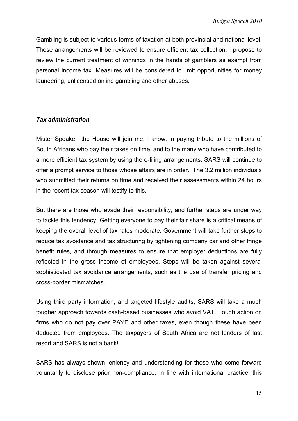Gambling is subject to various forms of taxation at both provincial and national level. These arrangements will be reviewed to ensure efficient tax collection. I propose to review the current treatment of winnings in the hands of gamblers as exempt from personal income tax. Measures will be considered to limit opportunities for money laundering, unlicensed online gambling and other abuses.

## *Tax administration*

Mister Speaker, the House will join me, I know, in paying tribute to the millions of South Africans who pay their taxes on time, and to the many who have contributed to a more efficient tax system by using the e-filing arrangements. SARS will continue to offer a prompt service to those whose affairs are in order. The 3.2 million individuals who submitted their returns on time and received their assessments within 24 hours in the recent tax season will testify to this.

But there are those who evade their responsibility, and further steps are under way to tackle this tendency. Getting everyone to pay their fair share is a critical means of keeping the overall level of tax rates moderate. Government will take further steps to reduce tax avoidance and tax structuring by tightening company car and other fringe benefit rules, and through measures to ensure that employer deductions are fully reflected in the gross income of employees. Steps will be taken against several sophisticated tax avoidance arrangements, such as the use of transfer pricing and cross-border mismatches.

Using third party information, and targeted lifestyle audits, SARS will take a much tougher approach towards cash-based businesses who avoid VAT. Tough action on firms who do not pay over PAYE and other taxes, even though these have been deducted from employees. The taxpayers of South Africa are not lenders of last resort and SARS is not a bank!

SARS has always shown leniency and understanding for those who come forward voluntarily to disclose prior non-compliance. In line with international practice, this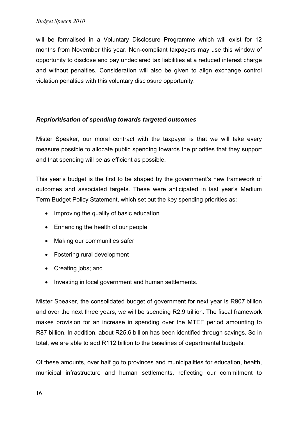will be formalised in a Voluntary Disclosure Programme which will exist for 12 months from November this year. Non-compliant taxpayers may use this window of opportunity to disclose and pay undeclared tax liabilities at a reduced interest charge and without penalties. Consideration will also be given to align exchange control violation penalties with this voluntary disclosure opportunity.

# *Reprioritisation of spending towards targeted outcomes*

Mister Speaker, our moral contract with the taxpayer is that we will take every measure possible to allocate public spending towards the priorities that they support and that spending will be as efficient as possible.

This year's budget is the first to be shaped by the government's new framework of outcomes and associated targets. These were anticipated in last year's Medium Term Budget Policy Statement, which set out the key spending priorities as:

- Improving the quality of basic education
- Enhancing the health of our people
- Making our communities safer
- Fostering rural development
- Creating jobs; and
- Investing in local government and human settlements.

Mister Speaker, the consolidated budget of government for next year is R907 billion and over the next three years, we will be spending R2.9 trillion. The fiscal framework makes provision for an increase in spending over the MTEF period amounting to R87 billion. In addition, about R25.6 billion has been identified through savings. So in total, we are able to add R112 billion to the baselines of departmental budgets.

Of these amounts, over half go to provinces and municipalities for education, health, municipal infrastructure and human settlements, reflecting our commitment to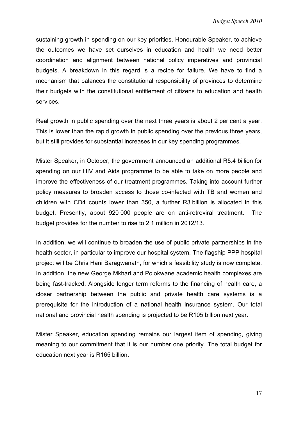sustaining growth in spending on our key priorities. Honourable Speaker, to achieve the outcomes we have set ourselves in education and health we need better coordination and alignment between national policy imperatives and provincial budgets. A breakdown in this regard is a recipe for failure. We have to find a mechanism that balances the constitutional responsibility of provinces to determine their budgets with the constitutional entitlement of citizens to education and health services.

Real growth in public spending over the next three years is about 2 per cent a year. This is lower than the rapid growth in public spending over the previous three years, but it still provides for substantial increases in our key spending programmes.

Mister Speaker, in October, the government announced an additional R5.4 billion for spending on our HIV and Aids programme to be able to take on more people and improve the effectiveness of our treatment programmes. Taking into account further policy measures to broaden access to those co-infected with TB and women and children with CD4 counts lower than 350, a further R3 billion is allocated in this budget. Presently, about 920 000 people are on anti-retroviral treatment. The budget provides for the number to rise to 2.1 million in 2012/13.

In addition, we will continue to broaden the use of public private partnerships in the health sector, in particular to improve our hospital system. The flagship PPP hospital project will be Chris Hani Baragwanath, for which a feasibility study is now complete. In addition, the new George Mkhari and Polokwane academic health complexes are being fast-tracked. Alongside longer term reforms to the financing of health care, a closer partnership between the public and private health care systems is a prerequisite for the introduction of a national health insurance system. Our total national and provincial health spending is projected to be R105 billion next year.

Mister Speaker, education spending remains our largest item of spending, giving meaning to our commitment that it is our number one priority. The total budget for education next year is R165 billion.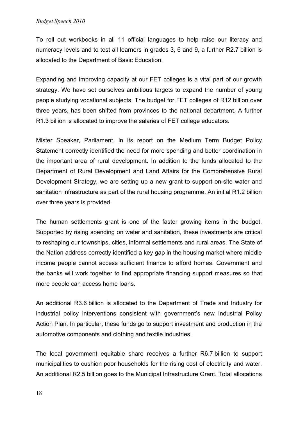To roll out workbooks in all 11 official languages to help raise our literacy and numeracy levels and to test all learners in grades 3, 6 and 9, a further R2.7 billion is allocated to the Department of Basic Education.

Expanding and improving capacity at our FET colleges is a vital part of our growth strategy. We have set ourselves ambitious targets to expand the number of young people studying vocational subjects. The budget for FET colleges of R12 billion over three years, has been shifted from provinces to the national department. A further R1.3 billion is allocated to improve the salaries of FET college educators.

Mister Speaker, Parliament, in its report on the Medium Term Budget Policy Statement correctly identified the need for more spending and better coordination in the important area of rural development. In addition to the funds allocated to the Department of Rural Development and Land Affairs for the Comprehensive Rural Development Strategy, we are setting up a new grant to support on-site water and sanitation infrastructure as part of the rural housing programme. An initial R1.2 billion over three years is provided.

The human settlements grant is one of the faster growing items in the budget. Supported by rising spending on water and sanitation, these investments are critical to reshaping our townships, cities, informal settlements and rural areas. The State of the Nation address correctly identified a key gap in the housing market where middle income people cannot access sufficient finance to afford homes. Government and the banks will work together to find appropriate financing support measures so that more people can access home loans.

An additional R3.6 billion is allocated to the Department of Trade and Industry for industrial policy interventions consistent with government's new Industrial Policy Action Plan. In particular, these funds go to support investment and production in the automotive components and clothing and textile industries.

The local government equitable share receives a further R6.7 billion to support municipalities to cushion poor households for the rising cost of electricity and water. An additional R2.5 billion goes to the Municipal Infrastructure Grant. Total allocations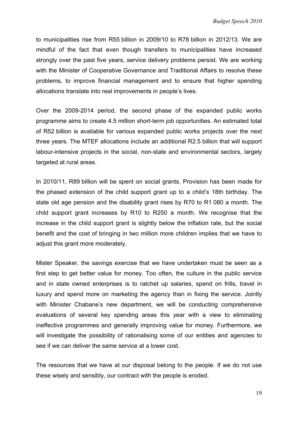to municipalities rise from R55 billion in 2009/10 to R78 billion in 2012/13. We are mindful of the fact that even though transfers to municipalities have increased strongly over the past five years, service delivery problems persist. We are working with the Minister of Cooperative Governance and Traditional Affairs to resolve these problems, to improve financial management and to ensure that higher spending allocations translate into real improvements in people's lives.

Over the 2009-2014 period, the second phase of the expanded public works programme aims to create 4.5 million short-term job opportunities. An estimated total of R52 billion is available for various expanded public works projects over the next three years. The MTEF allocations include an additional R2.5 billion that will support labour-intensive projects in the social, non-state and environmental sectors, largely targeted at rural areas.

In 2010/11, R89 billion will be spent on social grants. Provision has been made for the phased extension of the child support grant up to a child's 18th birthday. The state old age pension and the disability grant rises by R70 to R1 080 a month. The child support grant increases by R10 to R250 a month. We recognise that the increase in the child support grant is slightly below the inflation rate, but the social benefit and the cost of bringing in two million more children implies that we have to adjust this grant more moderately.

Mister Speaker, the savings exercise that we have undertaken must be seen as a first step to get better value for money. Too often, the culture in the public service and in state owned enterprises is to ratchet up salaries, spend on frills, travel in luxury and spend more on marketing the agency than in fixing the service. Jointly with Minister Chabane's new department, we will be conducting comprehensive evaluations of several key spending areas this year with a view to eliminating ineffective programmes and generally improving value for money. Furthermore, we will investigate the possibility of rationalising some of our entities and agencies to see if we can deliver the same service at a lower cost.

The resources that we have at our disposal belong to the people. If we do not use these wisely and sensibly, our contract with the people is eroded.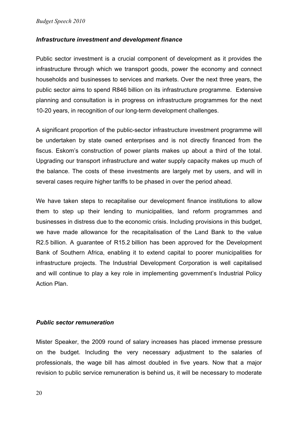## *Infrastructure investment and development finance*

Public sector investment is a crucial component of development as it provides the infrastructure through which we transport goods, power the economy and connect households and businesses to services and markets. Over the next three years, the public sector aims to spend R846 billion on its infrastructure programme. Extensive planning and consultation is in progress on infrastructure programmes for the next 10-20 years, in recognition of our long-term development challenges.

A significant proportion of the public-sector infrastructure investment programme will be undertaken by state owned enterprises and is not directly financed from the fiscus. Eskom's construction of power plants makes up about a third of the total. Upgrading our transport infrastructure and water supply capacity makes up much of the balance. The costs of these investments are largely met by users, and will in several cases require higher tariffs to be phased in over the period ahead.

We have taken steps to recapitalise our development finance institutions to allow them to step up their lending to municipalities, land reform programmes and businesses in distress due to the economic crisis. Including provisions in this budget, we have made allowance for the recapitalisation of the Land Bank to the value R2.5 billion. A guarantee of R15.2 billion has been approved for the Development Bank of Southern Africa, enabling it to extend capital to poorer municipalities for infrastructure projects. The Industrial Development Corporation is well capitalised and will continue to play a key role in implementing government's Industrial Policy Action Plan.

### *Public sector remuneration*

Mister Speaker, the 2009 round of salary increases has placed immense pressure on the budget. Including the very necessary adjustment to the salaries of professionals, the wage bill has almost doubled in five years. Now that a major revision to public service remuneration is behind us, it will be necessary to moderate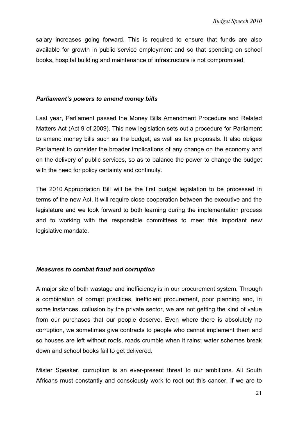salary increases going forward. This is required to ensure that funds are also available for growth in public service employment and so that spending on school books, hospital building and maintenance of infrastructure is not compromised.

### *Parliament's powers to amend money bills*

Last year, Parliament passed the Money Bills Amendment Procedure and Related Matters Act (Act 9 of 2009). This new legislation sets out a procedure for Parliament to amend money bills such as the budget, as well as tax proposals. It also obliges Parliament to consider the broader implications of any change on the economy and on the delivery of public services, so as to balance the power to change the budget with the need for policy certainty and continuity.

The 2010 Appropriation Bill will be the first budget legislation to be processed in terms of the new Act. It will require close cooperation between the executive and the legislature and we look forward to both learning during the implementation process and to working with the responsible committees to meet this important new legislative mandate.

### *Measures to combat fraud and corruption*

A major site of both wastage and inefficiency is in our procurement system. Through a combination of corrupt practices, inefficient procurement, poor planning and, in some instances, collusion by the private sector, we are not getting the kind of value from our purchases that our people deserve. Even where there is absolutely no corruption, we sometimes give contracts to people who cannot implement them and so houses are left without roofs, roads crumble when it rains; water schemes break down and school books fail to get delivered.

Mister Speaker, corruption is an ever-present threat to our ambitions. All South Africans must constantly and consciously work to root out this cancer. If we are to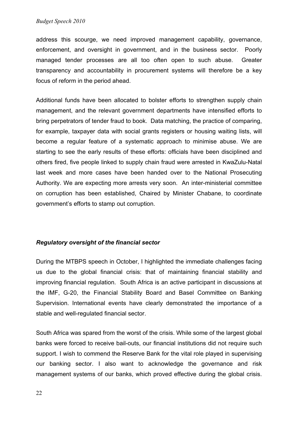address this scourge, we need improved management capability, governance, enforcement, and oversight in government, and in the business sector. Poorly managed tender processes are all too often open to such abuse. Greater transparency and accountability in procurement systems will therefore be a key focus of reform in the period ahead.

Additional funds have been allocated to bolster efforts to strengthen supply chain management, and the relevant government departments have intensified efforts to bring perpetrators of tender fraud to book. Data matching, the practice of comparing, for example, taxpayer data with social grants registers or housing waiting lists, will become a regular feature of a systematic approach to minimise abuse. We are starting to see the early results of these efforts: officials have been disciplined and others fired, five people linked to supply chain fraud were arrested in KwaZulu-Natal last week and more cases have been handed over to the National Prosecuting Authority. We are expecting more arrests very soon. An inter-ministerial committee on corruption has been established, Chaired by Minister Chabane, to coordinate government's efforts to stamp out corruption.

### *Regulatory oversight of the financial sector*

During the MTBPS speech in October, I highlighted the immediate challenges facing us due to the global financial crisis: that of maintaining financial stability and improving financial regulation. South Africa is an active participant in discussions at the IMF, G-20, the Financial Stability Board and Basel Committee on Banking Supervision. International events have clearly demonstrated the importance of a stable and well-regulated financial sector.

South Africa was spared from the worst of the crisis. While some of the largest global banks were forced to receive bail-outs, our financial institutions did not require such support. I wish to commend the Reserve Bank for the vital role played in supervising our banking sector. I also want to acknowledge the governance and risk management systems of our banks, which proved effective during the global crisis.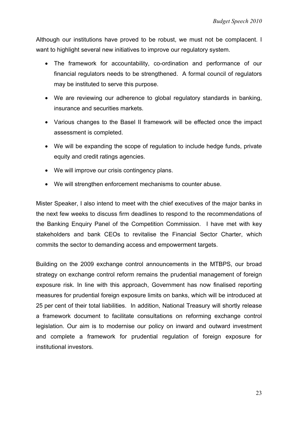Although our institutions have proved to be robust, we must not be complacent. I want to highlight several new initiatives to improve our regulatory system.

- The framework for accountability, co-ordination and performance of our financial regulators needs to be strengthened. A formal council of regulators may be instituted to serve this purpose.
- We are reviewing our adherence to global regulatory standards in banking, insurance and securities markets.
- Various changes to the Basel II framework will be effected once the impact assessment is completed.
- We will be expanding the scope of regulation to include hedge funds, private equity and credit ratings agencies.
- We will improve our crisis contingency plans.
- We will strengthen enforcement mechanisms to counter abuse.

Mister Speaker, I also intend to meet with the chief executives of the major banks in the next few weeks to discuss firm deadlines to respond to the recommendations of the Banking Enquiry Panel of the Competition Commission. I have met with key stakeholders and bank CEOs to revitalise the Financial Sector Charter, which commits the sector to demanding access and empowerment targets.

Building on the 2009 exchange control announcements in the MTBPS, our broad strategy on exchange control reform remains the prudential management of foreign exposure risk. In line with this approach, Government has now finalised reporting measures for prudential foreign exposure limits on banks, which will be introduced at 25 per cent of their total liabilities. In addition, National Treasury will shortly release a framework document to facilitate consultations on reforming exchange control legislation. Our aim is to modernise our policy on inward and outward investment and complete a framework for prudential regulation of foreign exposure for institutional investors.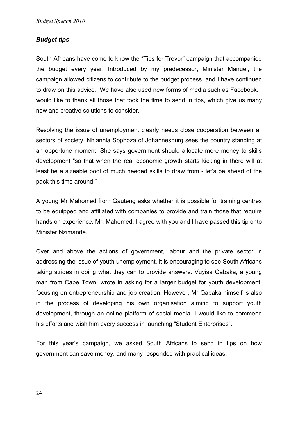# *Budget tips*

South Africans have come to know the "Tips for Trevor" campaign that accompanied the budget every year. Introduced by my predecessor, Minister Manuel, the campaign allowed citizens to contribute to the budget process, and I have continued to draw on this advice. We have also used new forms of media such as Facebook. I would like to thank all those that took the time to send in tips, which give us many new and creative solutions to consider.

Resolving the issue of unemployment clearly needs close cooperation between all sectors of society. Nhlanhla Sophoza of Johannesburg sees the country standing at an opportune moment. She says government should allocate more money to skills development "so that when the real economic growth starts kicking in there will at least be a sizeable pool of much needed skills to draw from - let's be ahead of the pack this time around!"

A young Mr Mahomed from Gauteng asks whether it is possible for training centres to be equipped and affiliated with companies to provide and train those that require hands on experience. Mr. Mahomed, I agree with you and I have passed this tip onto Minister Nzimande.

Over and above the actions of government, labour and the private sector in addressing the issue of youth unemployment, it is encouraging to see South Africans taking strides in doing what they can to provide answers. Vuyisa Qabaka, a young man from Cape Town, wrote in asking for a larger budget for youth development, focusing on entrepreneurship and job creation. However, Mr Qabaka himself is also in the process of developing his own organisation aiming to support youth development, through an online platform of social media. I would like to commend his efforts and wish him every success in launching "Student Enterprises".

For this year's campaign, we asked South Africans to send in tips on how government can save money, and many responded with practical ideas.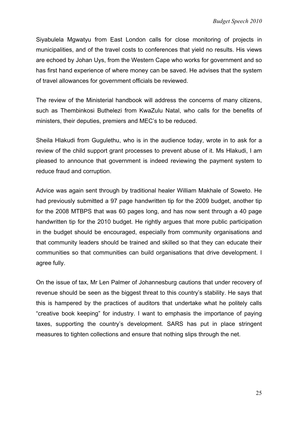Siyabulela Mgwatyu from East London calls for close monitoring of projects in municipalities, and of the travel costs to conferences that yield no results. His views are echoed by Johan Uys, from the Western Cape who works for government and so has first hand experience of where money can be saved. He advises that the system of travel allowances for government officials be reviewed.

The review of the Ministerial handbook will address the concerns of many citizens, such as Thembinkosi Buthelezi from KwaZulu Natal, who calls for the benefits of ministers, their deputies, premiers and MEC's to be reduced.

Sheila Hlakudi from Gugulethu, who is in the audience today, wrote in to ask for a review of the child support grant processes to prevent abuse of it. Ms Hlakudi, I am pleased to announce that government is indeed reviewing the payment system to reduce fraud and corruption.

Advice was again sent through by traditional healer William Makhale of Soweto. He had previously submitted a 97 page handwritten tip for the 2009 budget, another tip for the 2008 MTBPS that was 60 pages long, and has now sent through a 40 page handwritten tip for the 2010 budget. He rightly argues that more public participation in the budget should be encouraged, especially from community organisations and that community leaders should be trained and skilled so that they can educate their communities so that communities can build organisations that drive development. I agree fully.

On the issue of tax, Mr Len Palmer of Johannesburg cautions that under recovery of revenue should be seen as the biggest threat to this country's stability. He says that this is hampered by the practices of auditors that undertake what he politely calls "creative book keeping" for industry. I want to emphasis the importance of paying taxes, supporting the country's development. SARS has put in place stringent measures to tighten collections and ensure that nothing slips through the net.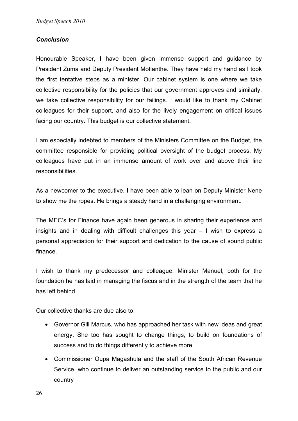## *Conclusion*

Honourable Speaker, I have been given immense support and guidance by President Zuma and Deputy President Motlanthe. They have held my hand as I took the first tentative steps as a minister. Our cabinet system is one where we take collective responsibility for the policies that our government approves and similarly, we take collective responsibility for our failings. I would like to thank my Cabinet colleagues for their support, and also for the lively engagement on critical issues facing our country. This budget is our collective statement.

I am especially indebted to members of the Ministers Committee on the Budget, the committee responsible for providing political oversight of the budget process. My colleagues have put in an immense amount of work over and above their line responsibilities.

As a newcomer to the executive, I have been able to lean on Deputy Minister Nene to show me the ropes. He brings a steady hand in a challenging environment.

The MEC's for Finance have again been generous in sharing their experience and insights and in dealing with difficult challenges this year – I wish to express a personal appreciation for their support and dedication to the cause of sound public finance.

I wish to thank my predecessor and colleague, Minister Manuel, both for the foundation he has laid in managing the fiscus and in the strength of the team that he has left behind.

Our collective thanks are due also to:

- Governor Gill Marcus, who has approached her task with new ideas and great energy. She too has sought to change things, to build on foundations of success and to do things differently to achieve more.
- Commissioner Oupa Magashula and the staff of the South African Revenue Service, who continue to deliver an outstanding service to the public and our country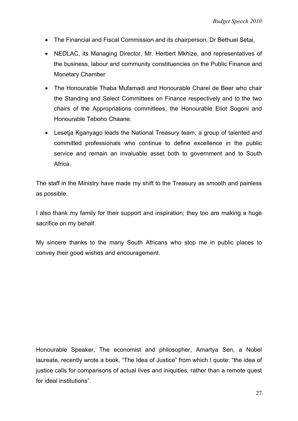- The Financial and Fiscal Commission and its chairperson, Dr Bethuel Setai,
- NEDLAC, its Managing Director, Mr. Herbert Mkhize, and representatives of the business, labour and community constituencies on the Public Finance and Monetary Chamber
- The Honourable Thaba Mufamadi and Honourable Charel de Beer who chair the Standing and Select Committees on Finance respectively and to the two chairs of the Appropriations committees, the Honourable Eliot Sogoni and Honourable Teboho Chaane.
- Lesetja Kganyago leads the National Treasury team, a group of talented and committed professionals who continue to define excellence in the public service and remain an invaluable asset both to government and to South Africa.

The staff in the Ministry have made my shift to the Treasury as smooth and painless as possible.

I also thank my family for their support and inspiration; they too are making a huge sacrifice on my behalf.

My sincere thanks to the many South Africans who stop me in public places to convey their good wishes and encouragement.

Honourable Speaker, The economist and philosopher, Amartya Sen, a Nobel laureate, recently wrote a book, "The Idea of Justice" from which I quote: "the idea of justice calls for comparisons of actual lives and iniquities, rather than a remote quest for ideal institutions".